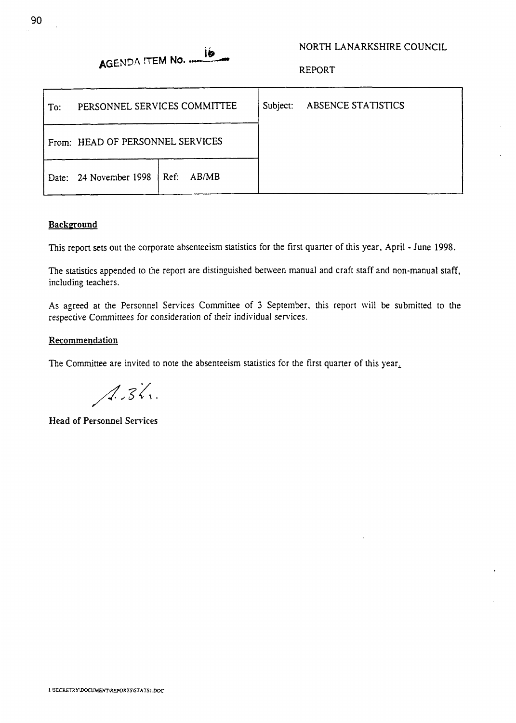# AGENDA ITEM No.

#### NORTH LANARKSHIRE COUNCIL

REPORT

| To: | PERSONNEL SERVICES COMMITTEE        |  |  | Subject: | ABSENCE STATISTICS |
|-----|-------------------------------------|--|--|----------|--------------------|
|     | From: HEAD OF PERSONNEL SERVICES    |  |  |          |                    |
|     | Date: 24 November 1998   Ref: AB/MB |  |  |          |                    |

#### **Background**

This report **sets** out the corporate absenteeism statistics for the first quarter of this year, April - June 1998.

The statistics appended *to* the report are distinguished between manual and craft staff and non-manual **staff,**  including teachers.

As agreed at the Personnel Services Committee of 3 September, this report will be submitted to the respective Committees for consideration of their individual services.

#### **Recommendation**

The Committee are invited to note the absenteeism statistics for the first quarter of this year.

 $A.31.$ 

**Head of Personnel Services**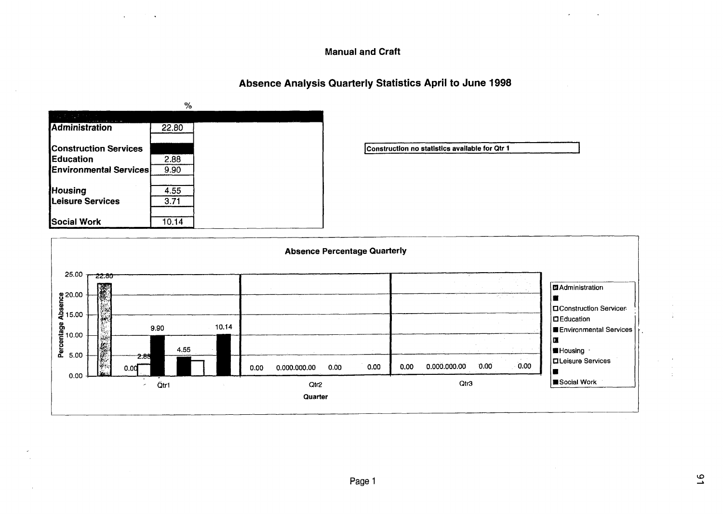#### **Manual and Craft**

## Absence Analysis Quarterly Statistics April to June 1998